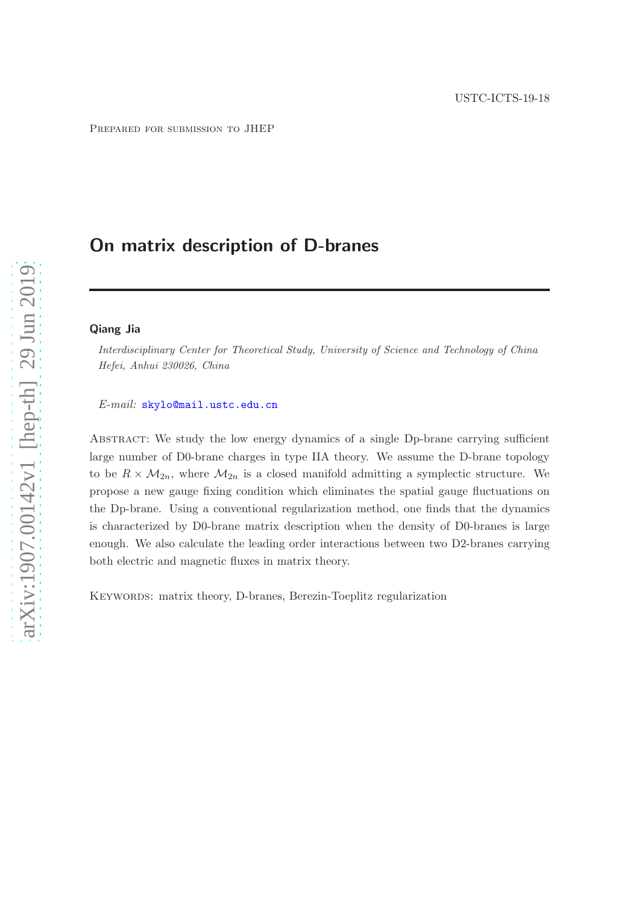# On matrix description of D-branes

#### Qiang Jia

*Interdisciplinary Center for Theoretical Study, University of Science and Technology of China Hefei, Anhui 230026, China*

## *E-mail:* [skylo@mail.ustc.edu.cn](mailto:skylo@mail.ustc.edu.cn)

Abstract: We study the low energy dynamics of a single Dp-brane carrying sufficient large number of D0-brane charges in type IIA theory. We assume the D-brane topology to be  $R \times M_{2n}$ , where  $M_{2n}$  is a closed manifold admitting a symplectic structure. We propose a new gauge fixing condition which eliminates the spatial gauge fluctuations on the Dp-brane. Using a conventional regularization method, one finds that the dynamics is characterized by D0-brane matrix description when the density of D0-branes is large enough. We also calculate the leading order interactions between two D2-branes carrying both electric and magnetic fluxes in matrix theory.

KEYWORDS: matrix theory, D-branes, Berezin-Toeplitz regularization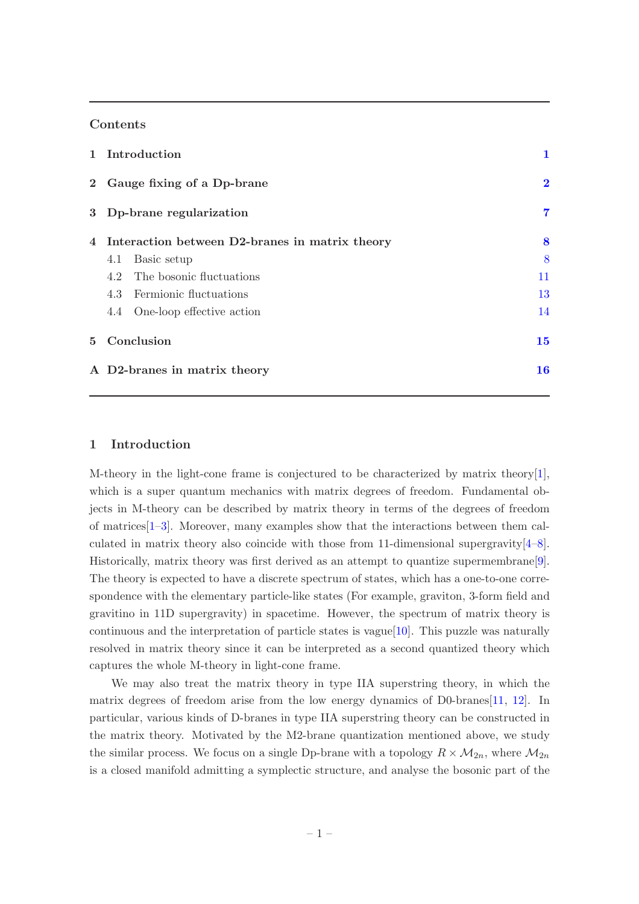# Contents

| 1 Introduction                                   | 1        |
|--------------------------------------------------|----------|
| 2 Gauge fixing of a Dp-brane                     | $\bf{2}$ |
| 3 Dp-brane regularization                        | 7        |
| 4 Interaction between D2-branes in matrix theory | 8        |
| Basic setup<br>4.1                               | 8        |
| 4.2 The bosonic fluctuations                     | 11       |
| 4.3 Fermionic fluctuations                       | 13       |
| 4.4 One-loop effective action                    | 14       |
| 5 Conclusion                                     | 15       |
| A D2-branes in matrix theory                     | 16       |

# <span id="page-1-0"></span>1 Introduction

M-theory in the light-cone frame is conjectured to be characterized by matrix theory[\[1\]](#page-19-0), which is a super quantum mechanics with matrix degrees of freedom. Fundamental objects in M-theory can be described by matrix theory in terms of the degrees of freedom of matrices[\[1](#page-19-0)[–3](#page-19-1)]. Moreover, many examples show that the interactions between them calculated in matrix theory also coincide with those from 11-dimensional supergravity  $[4-8]$  $[4-8]$ . Historically, matrix theory was first derived as an attempt to quantize supermembrane[\[9\]](#page-19-4). The theory is expected to have a discrete spectrum of states, which has a one-to-one correspondence with the elementary particle-like states (For example, graviton, 3-form field and gravitino in 11D supergravity) in spacetime. However, the spectrum of matrix theory is continuous and the interpretation of particle states is vague[\[10](#page-20-0)]. This puzzle was naturally resolved in matrix theory since it can be interpreted as a second quantized theory which captures the whole M-theory in light-cone frame.

We may also treat the matrix theory in type IIA superstring theory, in which the matrix degrees of freedom arise from the low energy dynamics of D0-branes[\[11](#page-20-1), [12](#page-20-2)]. In particular, various kinds of D-branes in type IIA superstring theory can be constructed in the matrix theory. Motivated by the M2-brane quantization mentioned above, we study the similar process. We focus on a single Dp-brane with a topology  $R \times M_{2n}$ , where  $M_{2n}$ is a closed manifold admitting a symplectic structure, and analyse the bosonic part of the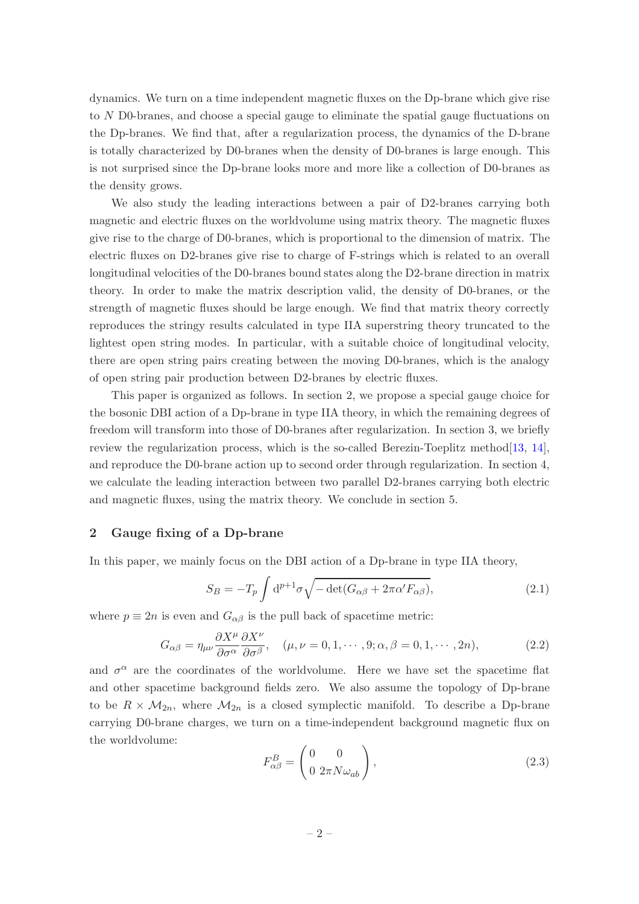dynamics. We turn on a time independent magnetic fluxes on the Dp-brane which give rise to N D0-branes, and choose a special gauge to eliminate the spatial gauge fluctuations on the Dp-branes. We find that, after a regularization process, the dynamics of the D-brane is totally characterized by D0-branes when the density of D0-branes is large enough. This is not surprised since the Dp-brane looks more and more like a collection of D0-branes as the density grows.

We also study the leading interactions between a pair of D2-branes carrying both magnetic and electric fluxes on the worldvolume using matrix theory. The magnetic fluxes give rise to the charge of D0-branes, which is proportional to the dimension of matrix. The electric fluxes on D2-branes give rise to charge of F-strings which is related to an overall longitudinal velocities of the D0-branes bound states along the D2-brane direction in matrix theory. In order to make the matrix description valid, the density of D0-branes, or the strength of magnetic fluxes should be large enough. We find that matrix theory correctly reproduces the stringy results calculated in type IIA superstring theory truncated to the lightest open string modes. In particular, with a suitable choice of longitudinal velocity, there are open string pairs creating between the moving D0-branes, which is the analogy of open string pair production between D2-branes by electric fluxes.

This paper is organized as follows. In section 2, we propose a special gauge choice for the bosonic DBI action of a Dp-brane in type IIA theory, in which the remaining degrees of freedom will transform into those of D0-branes after regularization. In section 3, we briefly review the regularization process, which is the so-called Berezin-Toeplitz method[\[13,](#page-20-3) [14\]](#page-20-4), and reproduce the D0-brane action up to second order through regularization. In section 4, we calculate the leading interaction between two parallel D2-branes carrying both electric and magnetic fluxes, using the matrix theory. We conclude in section 5.

# <span id="page-2-0"></span>2 Gauge fixing of a Dp-brane

In this paper, we mainly focus on the DBI action of a Dp-brane in type IIA theory,

$$
S_B = -T_p \int d^{p+1} \sigma \sqrt{-\det(G_{\alpha\beta} + 2\pi\alpha' F_{\alpha\beta})},\tag{2.1}
$$

where  $p \equiv 2n$  is even and  $G_{\alpha\beta}$  is the pull back of spacetime metric:

$$
G_{\alpha\beta} = \eta_{\mu\nu} \frac{\partial X^{\mu}}{\partial \sigma^{\alpha}} \frac{\partial X^{\nu}}{\partial \sigma^{\beta}}, \quad (\mu, \nu = 0, 1, \cdots, 9; \alpha, \beta = 0, 1, \cdots, 2n), \tag{2.2}
$$

and  $\sigma^{\alpha}$  are the coordinates of the worldvolume. Here we have set the spacetime flat and other spacetime background fields zero. We also assume the topology of Dp-brane to be  $R \times M_{2n}$ , where  $M_{2n}$  is a closed symplectic manifold. To describe a Dp-brane carrying D0-brane charges, we turn on a time-independent background magnetic flux on the worldvolume:

<span id="page-2-1"></span>
$$
F_{\alpha\beta}^{B} = \begin{pmatrix} 0 & 0 \\ 0 & 2\pi N \omega_{ab} \end{pmatrix},
$$
\n(2.3)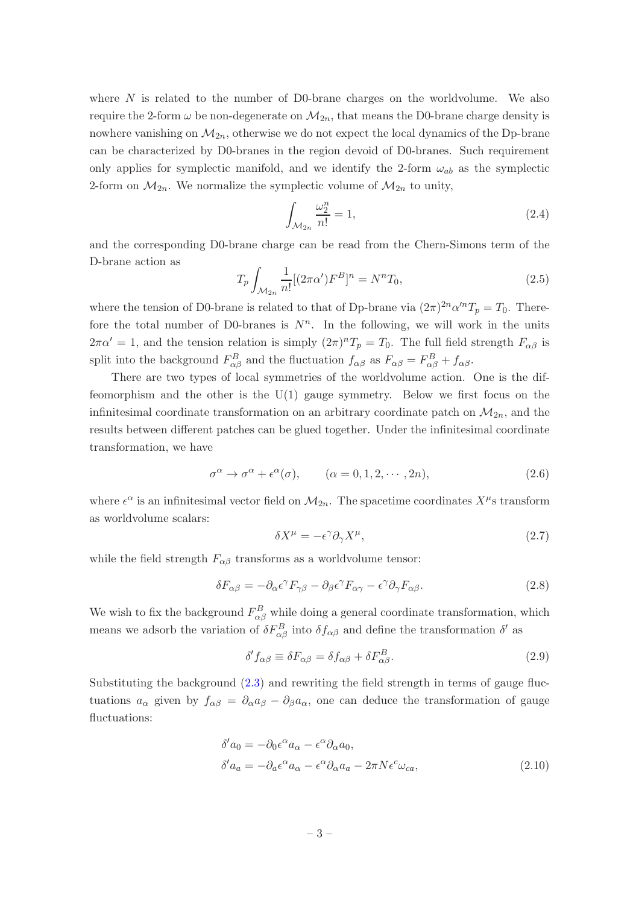where  $N$  is related to the number of D0-brane charges on the worldvolume. We also require the 2-form  $\omega$  be non-degenerate on  $\mathcal{M}_{2n}$ , that means the D0-brane charge density is nowhere vanishing on  $M_{2n}$ , otherwise we do not expect the local dynamics of the Dp-brane can be characterized by D0-branes in the region devoid of D0-branes. Such requirement only applies for symplectic manifold, and we identify the 2-form  $\omega_{ab}$  as the symplectic 2-form on  $\mathcal{M}_{2n}$ . We normalize the symplectic volume of  $\mathcal{M}_{2n}$  to unity,

$$
\int_{\mathcal{M}_{2n}} \frac{\omega_2^n}{n!} = 1,\tag{2.4}
$$

and the corresponding D0-brane charge can be read from the Chern-Simons term of the D-brane action as

$$
T_p \int_{\mathcal{M}_{2n}} \frac{1}{n!} [(2\pi\alpha')F^B]^n = N^n T_0,
$$
\n(2.5)

where the tension of D0-brane is related to that of Dp-brane via  $(2\pi)^{2n} \alpha'^n T_p = T_0$ . Therefore the total number of D0-branes is  $N<sup>n</sup>$ . In the following, we will work in the units  $2\pi\alpha' = 1$ , and the tension relation is simply  $(2\pi)^n T_p = T_0$ . The full field strength  $F_{\alpha\beta}$  is split into the background  $F_{\alpha\beta}^B$  and the fluctuation  $f_{\alpha\beta}$  as  $F_{\alpha\beta} = F_{\alpha\beta}^B + f_{\alpha\beta}$ .

There are two types of local symmetries of the worldvolume action. One is the diffeomorphism and the other is the U(1) gauge symmetry. Below we first focus on the infinitesimal coordinate transformation on an arbitrary coordinate patch on  $\mathcal{M}_{2n}$ , and the results between different patches can be glued together. Under the infinitesimal coordinate transformation, we have

$$
\sigma^{\alpha} \to \sigma^{\alpha} + \epsilon^{\alpha}(\sigma), \qquad (\alpha = 0, 1, 2, \cdots, 2n), \tag{2.6}
$$

where  $\epsilon^{\alpha}$  is an infinitesimal vector field on  $\mathcal{M}_{2n}$ . The spacetime coordinates  $X^{\mu}$ s transform as worldvolume scalars:

$$
\delta X^{\mu} = -\epsilon^{\gamma} \partial_{\gamma} X^{\mu}, \tag{2.7}
$$

while the field strength  $F_{\alpha\beta}$  transforms as a worldvolume tensor:

$$
\delta F_{\alpha\beta} = -\partial_{\alpha}\epsilon^{\gamma}F_{\gamma\beta} - \partial_{\beta}\epsilon^{\gamma}F_{\alpha\gamma} - \epsilon^{\gamma}\partial_{\gamma}F_{\alpha\beta}.
$$
\n(2.8)

We wish to fix the background  $F_{\alpha\beta}^B$  while doing a general coordinate transformation, which means we adsorb the variation of  $\delta F_{\alpha\beta}^{B}$  into  $\delta f_{\alpha\beta}$  and define the transformation  $\delta'$  as

<span id="page-3-0"></span>
$$
\delta' f_{\alpha\beta} \equiv \delta F_{\alpha\beta} = \delta f_{\alpha\beta} + \delta F_{\alpha\beta}^B. \tag{2.9}
$$

Substituting the background [\(2.3\)](#page-2-1) and rewriting the field strength in terms of gauge fluctuations  $a_{\alpha}$  given by  $f_{\alpha\beta} = \partial_{\alpha}a_{\beta} - \partial_{\beta}a_{\alpha}$ , one can deduce the transformation of gauge fluctuations:

$$
\delta' a_0 = -\partial_0 \epsilon^\alpha a_\alpha - \epsilon^\alpha \partial_\alpha a_0,
$$
  
\n
$$
\delta' a_a = -\partial_a \epsilon^\alpha a_\alpha - \epsilon^\alpha \partial_\alpha a_a - 2\pi N \epsilon^c \omega_{ca},
$$
\n(2.10)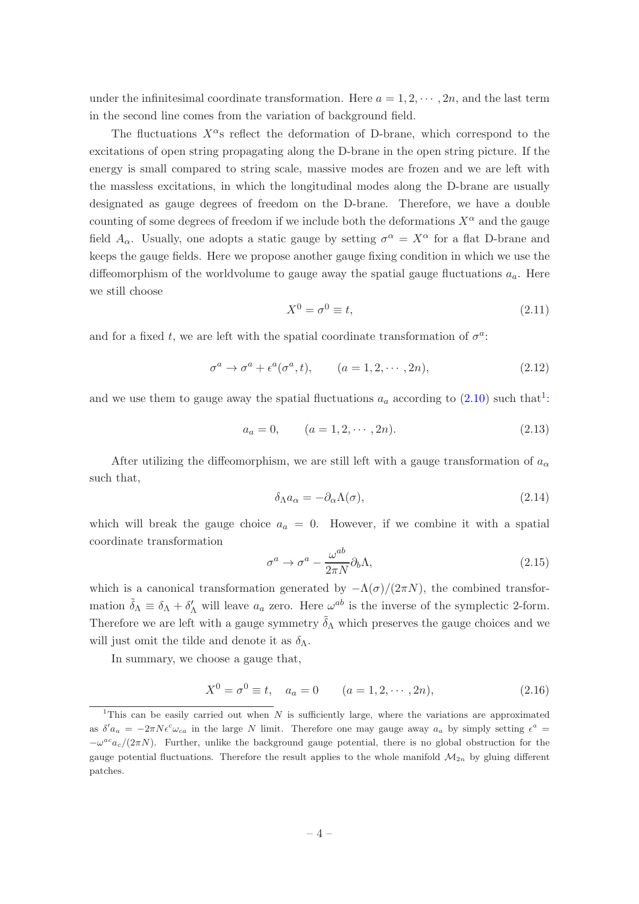under the infinitesimal coordinate transformation. Here  $a = 1, 2, \dots, 2n$ , and the last term in the second line comes from the variation of background field.

The fluctuations  $X^{\alpha}$ s reflect the deformation of D-brane, which correspond to the excitations of open string propagating along the D-brane in the open string picture. If the energy is small compared to string scale, massive modes are frozen and we are left with the massless excitations, in which the longitudinal modes along the D-brane are usually designated as gauge degrees of freedom on the D-brane. Therefore, we have a double counting of some degrees of freedom if we include both the deformations  $X^{\alpha}$  and the gauge field  $A_{\alpha}$ . Usually, one adopts a static gauge by setting  $\sigma^{\alpha} = X^{\alpha}$  for a flat D-brane and keeps the gauge fields. Here we propose another gauge fixing condition in which we use the diffeomorphism of the worldvolume to gauge away the spatial gauge fluctuations  $a_a$ . Here we still choose

$$
X^0 = \sigma^0 \equiv t,\tag{2.11}
$$

and for a fixed t, we are left with the spatial coordinate transformation of  $\sigma^a$ :

$$
\sigma^a \to \sigma^a + \epsilon^a(\sigma^a, t), \qquad (a = 1, 2, \cdots, 2n), \tag{2.12}
$$

and we use them to gauge away the spatial fluctuations  $a_a$  according to  $(2.10)$  $(2.10)$  $(2.10)$  such that<sup>1</sup>:

$$
a_a = 0, \qquad (a = 1, 2, \cdots, 2n). \tag{2.13}
$$

After utilizing the diffeomorphism, we are still left with a gauge transformation of  $a_{\alpha}$ such that,

$$
\delta_{\Lambda} a_{\alpha} = -\partial_{\alpha} \Lambda(\sigma), \tag{2.14}
$$

which will break the gauge choice  $a_a = 0$ . However, if we combine it with a spatial coordinate transformation

$$
\sigma^a \to \sigma^a - \frac{\omega^{ab}}{2\pi N} \partial_b \Lambda, \tag{2.15}
$$

which is a canonical transformation generated by  $-\Lambda(\sigma)/(2\pi N)$ , the combined transformation  $\tilde{\delta}_{\Lambda} \equiv \delta_{\Lambda} + \delta'_{\Lambda}$  will leave  $a_a$  zero. Here  $\omega^{ab}$  is the inverse of the symplectic 2-form. Therefore we are left with a gauge symmetry  $\tilde{\delta}_{\Lambda}$  which preserves the gauge choices and we will just omit the tilde and denote it as  $\delta_{\Lambda}$ .

In summary, we choose a gauge that,

$$
X^{0} = \sigma^{0} \equiv t, \quad a_{a} = 0 \qquad (a = 1, 2, \cdots, 2n), \tag{2.16}
$$

<span id="page-4-0"></span><sup>&</sup>lt;sup>1</sup>This can be easily carried out when  $N$  is sufficiently large, where the variations are approximated as  $\delta' a_a = -2\pi N \epsilon^c \omega_{ca}$  in the large N limit. Therefore one may gauge away  $a_a$  by simply setting  $\epsilon^a$  $-\omega^{ac}a_c/(2\pi N)$ . Further, unlike the background gauge potential, there is no global obstruction for the gauge potential fluctuations. Therefore the result applies to the whole manifold  $\mathcal{M}_{2n}$  by gluing different patches.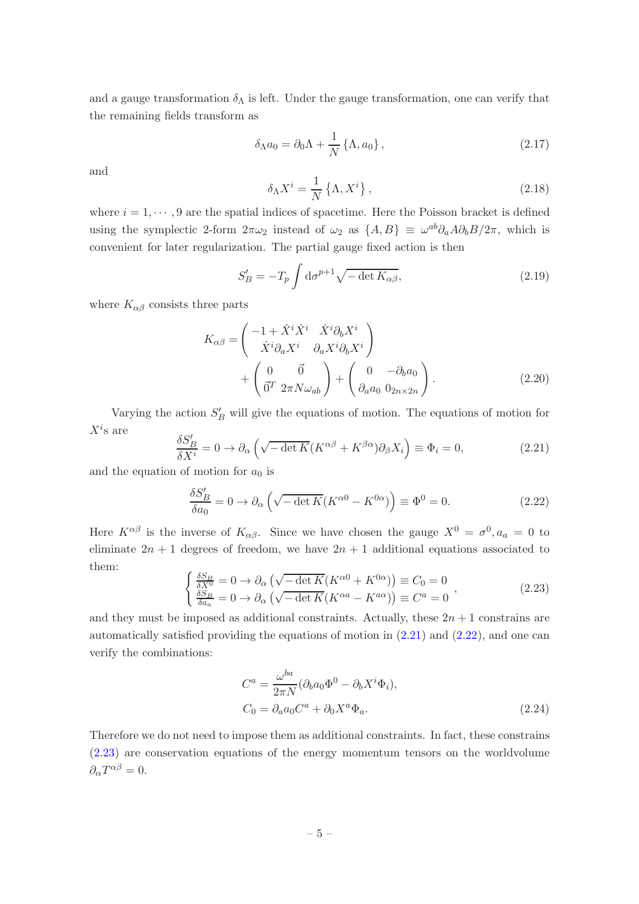and a gauge transformation  $\delta_{\Lambda}$  is left. Under the gauge transformation, one can verify that the remaining fields transform as

$$
\delta_{\Lambda} a_0 = \partial_0 \Lambda + \frac{1}{N} \left\{ \Lambda, a_0 \right\},\tag{2.17}
$$

and

$$
\delta_{\Lambda} X^{i} = \frac{1}{N} \left\{ \Lambda, X^{i} \right\},\tag{2.18}
$$

where  $i = 1, \dots, 9$  are the spatial indices of spacetime. Here the Poisson bracket is defined using the symplectic 2-form  $2\pi\omega_2$  instead of  $\omega_2$  as  $\{A, B\} \equiv \omega^{ab}\partial_a A \partial_b B / 2\pi$ , which is convenient for later regularization. The partial gauge fixed action is then

<span id="page-5-3"></span>
$$
S'_B = -T_p \int \mathrm{d}\sigma^{p+1} \sqrt{-\det K_{\alpha\beta}},\tag{2.19}
$$

where  $K_{\alpha\beta}$  consists three parts

$$
K_{\alpha\beta} = \begin{pmatrix} -1 + \dot{X}^i \dot{X}^i & \dot{X}^i \partial_b X^i \\ \dot{X}^i \partial_a X^i & \partial_a X^i \partial_b X^i \end{pmatrix} + \begin{pmatrix} 0 & \partial \\ \vec{0}^T & 2\pi N \omega_{ab} \end{pmatrix} + \begin{pmatrix} 0 & -\partial_b a_0 \\ \partial_a a_0 & 0_{2n \times 2n} \end{pmatrix}.
$$
 (2.20)

Varying the action  $S_B'$  will give the equations of motion. The equations of motion for  $X^i$ s are

<span id="page-5-0"></span>
$$
\frac{\delta S_B'}{\delta X^i} = 0 \to \partial_\alpha \left( \sqrt{-\det K} (K^{\alpha \beta} + K^{\beta \alpha}) \partial_\beta X_i \right) \equiv \Phi_i = 0, \tag{2.21}
$$

and the equation of motion for  $a_0$  is

<span id="page-5-1"></span>
$$
\frac{\delta S_B'}{\delta a_0} = 0 \to \partial_\alpha \left( \sqrt{-\det K} (K^{\alpha 0} - K^{0\alpha}) \right) \equiv \Phi^0 = 0. \tag{2.22}
$$

Here  $K^{\alpha\beta}$  is the inverse of  $K_{\alpha\beta}$ . Since we have chosen the gauge  $X^0 = \sigma^0, a_a = 0$  to eliminate  $2n + 1$  degrees of freedom, we have  $2n + 1$  additional equations associated to them:

<span id="page-5-2"></span>
$$
\begin{cases}\n\frac{\delta S_B}{\delta X^0} = 0 \to \partial_\alpha \left( \sqrt{-\det K} (K^{\alpha 0} + K^{0\alpha}) \right) \equiv C_0 = 0 \\
\frac{\delta S_B}{\delta a_a} = 0 \to \partial_\alpha \left( \sqrt{-\det K} (K^{\alpha a} - K^{a\alpha}) \right) \equiv C^a = 0\n\end{cases}
$$
\n(2.23)

and they must be imposed as additional constraints. Actually, these  $2n + 1$  constrains are automatically satisfied providing the equations of motion in  $(2.21)$  and  $(2.22)$ , and one can verify the combinations:

$$
C^{a} = \frac{\omega^{ba}}{2\pi N} (\partial_b a_0 \Phi^0 - \partial_b X^i \Phi_i),
$$
  
\n
$$
C_0 = \partial_a a_0 C^a + \partial_0 X^a \Phi_a.
$$
\n(2.24)

Therefore we do not need to impose them as additional constraints. In fact, these constrains [\(2.23\)](#page-5-2) are conservation equations of the energy momentum tensors on the worldvolume  $\partial_{\alpha}T^{\alpha\beta}=0.$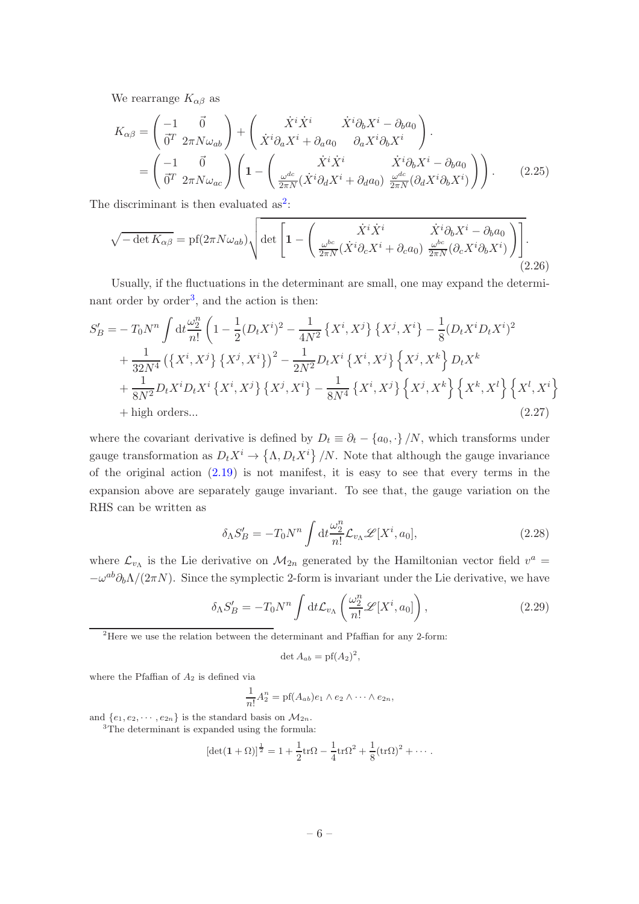We rearrange  $K_{\alpha\beta}$  as

$$
K_{\alpha\beta} = \begin{pmatrix} -1 & \vec{0} \\ \vec{0}^T & 2\pi N \omega_{ab} \end{pmatrix} + \begin{pmatrix} \dot{X}^i \dot{X}^i & \dot{X}^i \partial_b X^i - \partial_b a_0 \\ \dot{X}^i \partial_a X^i + \partial_a a_0 & \partial_a X^i \partial_b X^i \end{pmatrix}.
$$
  
= 
$$
\begin{pmatrix} -1 & \vec{0} \\ \vec{0}^T & 2\pi N \omega_{ac} \end{pmatrix} \left( 1 - \begin{pmatrix} \dot{X}^i \dot{X}^i & \dot{X}^i \partial_b X^i - \partial_b a_0 \\ \frac{\omega^{dc}}{2\pi N} (\dot{X}^i \partial_d X^i + \partial_d a_0) & \frac{\omega^{dc}}{2\pi N} (\partial_d X^i \partial_b X^i) \end{pmatrix} \right).
$$
(2.25)

The discriminant is then evaluated  $as^2$  $as^2$ :

$$
\sqrt{-\det K_{\alpha\beta}} = \text{pf}(2\pi N\omega_{ab}) \sqrt{\det \left[1 - \left(\frac{\dot{X}^i \dot{X}^i}{2\pi N} (\dot{X}^i \partial_c X^i + \partial_c a_0) \frac{\omega^{bc}}{2\pi N} (\partial_c X^i \partial_b X^i)\right)\right]}.
$$
\n(2.26)

Usually, if the fluctuations in the determinant are small, one may expand the determi-nant order by order<sup>[3](#page-6-1)</sup>, and the action is then:

$$
S'_{B} = -T_{0}N^{n} \int dt \frac{\omega_{2}^{n}}{n!} \left(1 - \frac{1}{2}(D_{t}X^{i})^{2} - \frac{1}{4N^{2}}\left\{X^{i}, X^{j}\right\}\left\{X^{j}, X^{i}\right\} - \frac{1}{8}(D_{t}X^{i}D_{t}X^{i})^{2} + \frac{1}{32N^{4}}\left(\left\{X^{i}, X^{j}\right\}\left\{X^{j}, X^{i}\right\}\right)^{2} - \frac{1}{2N^{2}}D_{t}X^{i}\left\{X^{i}, X^{j}\right\}\left\{X^{j}, X^{k}\right\}D_{t}X^{k} + \frac{1}{8N^{2}}D_{t}X^{i}D_{t}X^{i}\left\{X^{i}, X^{j}\right\}\left\{X^{j}, X^{i}\right\} - \frac{1}{8N^{4}}\left\{X^{i}, X^{j}\right\}\left\{X^{j}, X^{k}\right\}\left\{X^{k}, X^{l}\right\}\left\{X^{l}, X^{i}\right\} + \text{high orders...}
$$
\n(2.27)

where the covariant derivative is defined by  $D_t \equiv \partial_t - \{a_0, \cdot\} / N$ , which transforms under gauge transformation as  $D_t X^i \to \{\Lambda, D_t X^i\} / N$ . Note that although the gauge invariance of the original action  $(2.19)$  is not manifest, it is easy to see that every terms in the expansion above are separately gauge invariant. To see that, the gauge variation on the RHS can be written as

$$
\delta_{\Lambda} S'_{B} = -T_0 N^n \int \mathrm{d}t \frac{\omega_2^n}{n!} \mathcal{L}_{v_{\Lambda}} \mathcal{L}[X^i, a_0], \tag{2.28}
$$

where  $\mathcal{L}_{v_{\Lambda}}$  is the Lie derivative on  $\mathcal{M}_{2n}$  generated by the Hamiltonian vector field  $v^a =$  $-\omega^{ab}\partial_b\Lambda/(2\pi N)$ . Since the symplectic 2-form is invariant under the Lie derivative, we have

$$
\delta_{\Lambda} S'_{B} = -T_0 N^n \int \mathrm{d}t \mathcal{L}_{v_{\Lambda}} \left( \frac{\omega_2^n}{n!} \mathcal{L}[X^i, a_0] \right), \qquad (2.29)
$$

<span id="page-6-0"></span><sup>2</sup>Here we use the relation between the determinant and Pfaffian for any 2-form:

$$
\det A_{ab} = \mathrm{pf}(A_2)^2,
$$

where the Pfaffian of  $A_2$  is defined via

$$
\frac{1}{n!}A_2^n = \text{pf}(A_{ab})e_1 \wedge e_2 \wedge \cdots \wedge e_{2n},
$$

<span id="page-6-1"></span>and  $\{e_1, e_2, \dots, e_{2n}\}\$ is the standard basis on  $\mathcal{M}_{2n}$ . <sup>3</sup>The determinant is expanded using the formula:

$$
\left[\det(\mathbf{1}+\Omega)\right]^{\frac{1}{2}}=1+\frac{1}{2}\mathrm{tr}\Omega-\frac{1}{4}\mathrm{tr}\Omega^2+\frac{1}{8}(\mathrm{tr}\Omega)^2+\cdots.
$$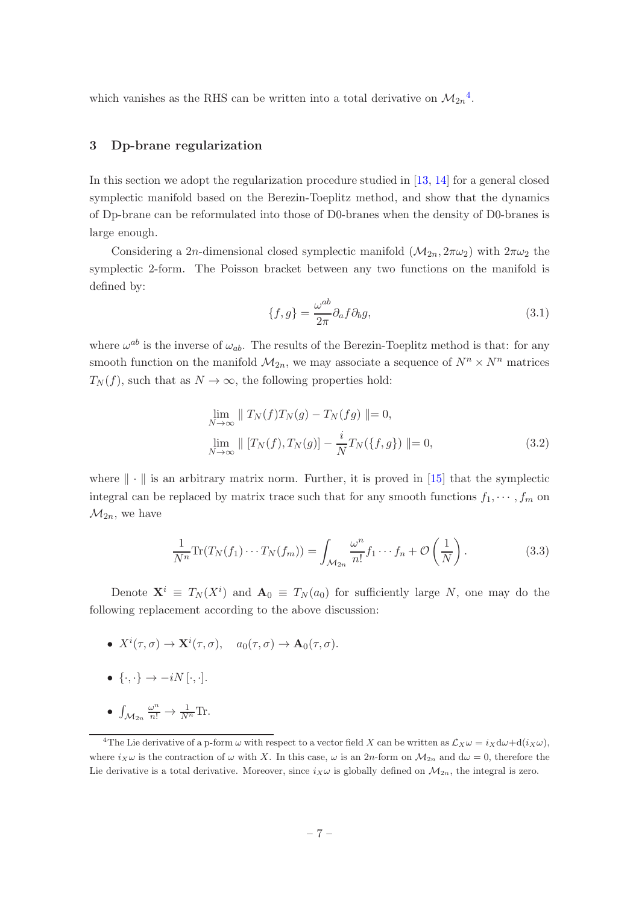which vanishes as the RHS can be written into a total derivative on  $\mathcal{M}_{2n}^4$  $\mathcal{M}_{2n}^4$ .

## <span id="page-7-0"></span>3 Dp-brane regularization

In this section we adopt the regularization procedure studied in [\[13,](#page-20-3) [14\]](#page-20-4) for a general closed symplectic manifold based on the Berezin-Toeplitz method, and show that the dynamics of Dp-brane can be reformulated into those of D0-branes when the density of D0-branes is large enough.

Considering a 2n-dimensional closed symplectic manifold  $(\mathcal{M}_{2n}, 2\pi\omega_2)$  with  $2\pi\omega_2$  the symplectic 2-form. The Poisson bracket between any two functions on the manifold is defined by:

$$
\{f,g\} = \frac{\omega^{ab}}{2\pi} \partial_a f \partial_b g,\tag{3.1}
$$

where  $\omega^{ab}$  is the inverse of  $\omega_{ab}$ . The results of the Berezin-Toeplitz method is that: for any smooth function on the manifold  $\mathcal{M}_{2n}$ , we may associate a sequence of  $N^n \times N^n$  matrices  $T_N(f)$ , such that as  $N \to \infty$ , the following properties hold:

$$
\lim_{N \to \infty} \| T_N(f) T_N(g) - T_N(fg) \| = 0,
$$
  
\n
$$
\lim_{N \to \infty} \| [T_N(f), T_N(g)] - \frac{i}{N} T_N(\{f, g\}) \| = 0,
$$
\n(3.2)

where  $\|\cdot\|$  is an arbitrary matrix norm. Further, it is proved in [\[15\]](#page-20-5) that the symplectic integral can be replaced by matrix trace such that for any smooth functions  $f_1, \dots, f_m$  on  $\mathcal{M}_{2n}$ , we have

$$
\frac{1}{N^n} \text{Tr}(T_N(f_1) \cdots T_N(f_m)) = \int_{\mathcal{M}_{2n}} \frac{\omega^n}{n!} f_1 \cdots f_n + \mathcal{O}\left(\frac{1}{N}\right). \tag{3.3}
$$

Denote  $X^i \equiv T_N(X^i)$  and  $A_0 \equiv T_N(a_0)$  for sufficiently large N, one may do the following replacement according to the above discussion:

- $X^i(\tau, \sigma) \to \mathbf{X}^i(\tau, \sigma)$ ,  $a_0(\tau, \sigma) \to \mathbf{A}_0(\tau, \sigma)$ .
- $\{\cdot,\cdot\} \rightarrow -iN[\cdot,\cdot].$
- $\bullet$   $\int_{\mathcal{M}_{2n}}$  $\frac{\omega^n}{n!} \to \frac{1}{N^n} \text{Tr}.$

<span id="page-7-1"></span><sup>&</sup>lt;sup>4</sup>The Lie derivative of a p-form  $\omega$  with respect to a vector field X can be written as  $\mathcal{L}_X\omega = i_X d\omega + d(i_X\omega)$ , where  $i_X \omega$  is the contraction of  $\omega$  with X. In this case,  $\omega$  is an 2n-form on  $\mathcal{M}_{2n}$  and  $d\omega = 0$ , therefore the Lie derivative is a total derivative. Moreover, since  $i_X \omega$  is globally defined on  $M_{2n}$ , the integral is zero.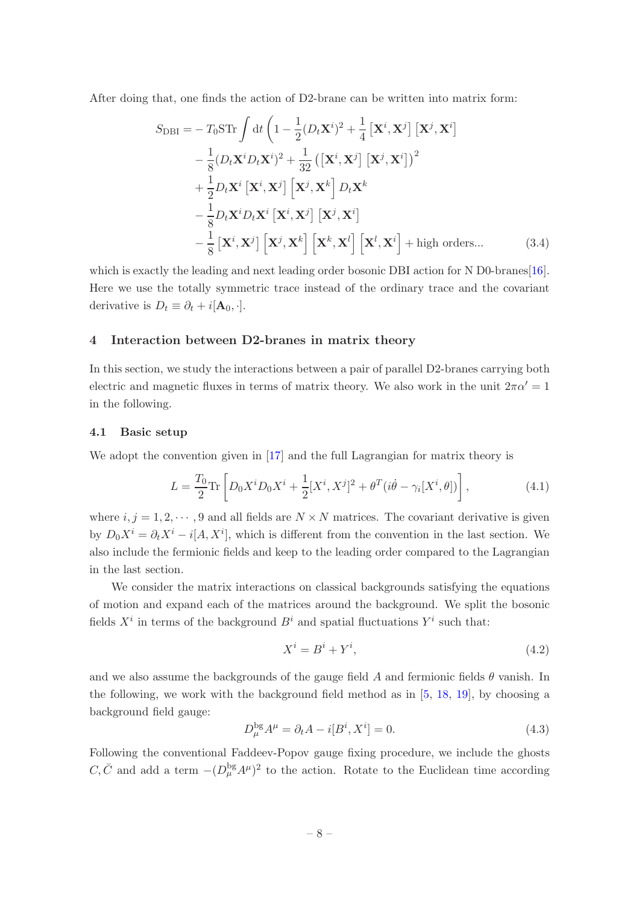After doing that, one finds the action of D2-brane can be written into matrix form:

$$
S_{\text{DBI}} = -T_0 \text{STr} \int \mathrm{d}t \left( 1 - \frac{1}{2} (D_t \mathbf{X}^i)^2 + \frac{1}{4} \left[ \mathbf{X}^i, \mathbf{X}^j \right] \left[ \mathbf{X}^j, \mathbf{X}^i \right] - \frac{1}{8} (D_t \mathbf{X}^i D_t \mathbf{X}^i)^2 + \frac{1}{32} \left( \left[ \mathbf{X}^i, \mathbf{X}^j \right] \left[ \mathbf{X}^j, \mathbf{X}^i \right] \right)^2 + \frac{1}{2} D_t \mathbf{X}^i \left[ \mathbf{X}^i, \mathbf{X}^j \right] \left[ \mathbf{X}^j, \mathbf{X}^k \right] D_t \mathbf{X}^k - \frac{1}{8} D_t \mathbf{X}^i D_t \mathbf{X}^i \left[ \mathbf{X}^i, \mathbf{X}^j \right] \left[ \mathbf{X}^j, \mathbf{X}^i \right] - \frac{1}{8} \left[ \mathbf{X}^i, \mathbf{X}^j \right] \left[ \mathbf{X}^j, \mathbf{X}^k \right] \left[ \mathbf{X}^k, \mathbf{X}^l \right] + \text{high orders...}
$$
 (3.4)

which is exactly the leading and next leading order bosonic DBI action for N D0-branes[\[16\]](#page-20-6). Here we use the totally symmetric trace instead of the ordinary trace and the covariant derivative is  $D_t \equiv \partial_t + i[\mathbf{A}_0, \cdot]$ .

## <span id="page-8-0"></span>4 Interaction between D2-branes in matrix theory

In this section, we study the interactions between a pair of parallel D2-branes carrying both electric and magnetic fluxes in terms of matrix theory. We also work in the unit  $2\pi\alpha' = 1$ in the following.

#### <span id="page-8-1"></span>4.1 Basic setup

We adopt the convention given in [\[17](#page-20-7)] and the full Lagrangian for matrix theory is

<span id="page-8-2"></span>
$$
L = \frac{T_0}{2} \text{Tr} \left[ D_0 X^i D_0 X^i + \frac{1}{2} [X^i, X^j]^2 + \theta^T (i\dot{\theta} - \gamma_i [X^i, \theta]) \right],\tag{4.1}
$$

where  $i, j = 1, 2, \dots, 9$  and all fields are  $N \times N$  matrices. The covariant derivative is given by  $D_0 X^i = \partial_t X^i - i[A, X^i]$ , which is different from the convention in the last section. We also include the fermionic fields and keep to the leading order compared to the Lagrangian in the last section.

We consider the matrix interactions on classical backgrounds satisfying the equations of motion and expand each of the matrices around the background. We split the bosonic fields  $X^i$  in terms of the background  $B^i$  and spatial fluctuations  $Y^i$  such that:

$$
X^i = B^i + Y^i,\tag{4.2}
$$

and we also assume the backgrounds of the gauge field A and fermionic fields  $\theta$  vanish. In the following, we work with the background field method as in  $[5, 18, 19]$  $[5, 18, 19]$  $[5, 18, 19]$  $[5, 18, 19]$ , by choosing a background field gauge:

$$
D_{\mu}^{\text{bg}}A^{\mu} = \partial_t A - i[B^i, X^i] = 0.
$$
\n(4.3)

Following the conventional Faddeev-Popov gauge fixing procedure, we include the ghosts  $C, \bar{C}$  and add a term  $-(D_{\mu}^{\text{bg}}A^{\mu})^2$  to the action. Rotate to the Euclidean time according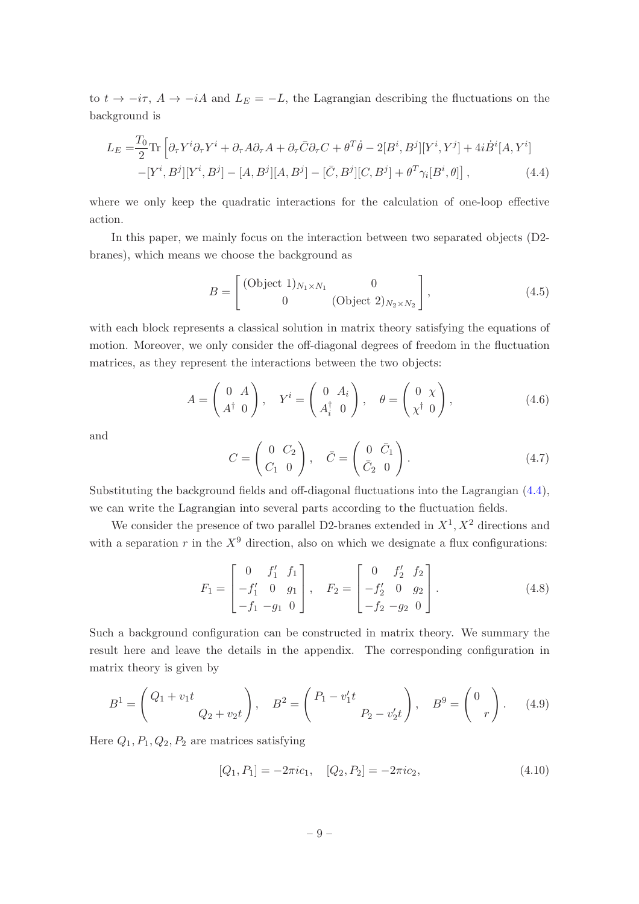to  $t \to -i\tau$ ,  $A \to -iA$  and  $L_E = -L$ , the Lagrangian describing the fluctuations on the background is

$$
L_E = \frac{T_0}{2} \text{Tr} \left[ \partial_\tau Y^i \partial_\tau Y^i + \partial_\tau A \partial_\tau A + \partial_\tau \bar{C} \partial_\tau C + \theta^T \dot{\theta} - 2[B^i, B^j][Y^i, Y^j] + 4i \dot{B}^i [A, Y^i] - [Y^i, B^j][Y^i, B^j] - [A, B^j][A, B^j] - [\bar{C}, B^j][C, B^j] + \theta^T \gamma_i [B^i, \theta] \right], \tag{4.4}
$$

where we only keep the quadratic interactions for the calculation of one-loop effective action.

In this paper, we mainly focus on the interaction between two separated objects (D2 branes), which means we choose the background as

<span id="page-9-0"></span>
$$
B = \begin{bmatrix} (\text{Object 1})_{N_1 \times N_1} & 0 \\ 0 & (\text{Object 2})_{N_2 \times N_2} \end{bmatrix},
$$
 (4.5)

with each block represents a classical solution in matrix theory satisfying the equations of motion. Moreover, we only consider the off-diagonal degrees of freedom in the fluctuation matrices, as they represent the interactions between the two objects:

<span id="page-9-1"></span>
$$
A = \begin{pmatrix} 0 & A \\ A^{\dagger} & 0 \end{pmatrix}, \quad Y^{i} = \begin{pmatrix} 0 & A_{i} \\ A_{i}^{\dagger} & 0 \end{pmatrix}, \quad \theta = \begin{pmatrix} 0 & \chi \\ \chi^{\dagger} & 0 \end{pmatrix}, \tag{4.6}
$$

and

<span id="page-9-2"></span>
$$
C = \begin{pmatrix} 0 & C_2 \\ C_1 & 0 \end{pmatrix}, \quad \bar{C} = \begin{pmatrix} 0 & \bar{C}_1 \\ \bar{C}_2 & 0 \end{pmatrix} . \tag{4.7}
$$

Substituting the background fields and off-diagonal fluctuations into the Lagrangian [\(4.4\)](#page-9-0), we can write the Lagrangian into several parts according to the fluctuation fields.

We consider the presence of two parallel D2-branes extended in  $X^1, X^2$  directions and with a separation r in the  $X^9$  direction, also on which we designate a flux configurations:

<span id="page-9-3"></span>
$$
F_1 = \begin{bmatrix} 0 & f'_1 & f_1 \\ -f'_1 & 0 & g_1 \\ -f_1 & -g_1 & 0 \end{bmatrix}, \quad F_2 = \begin{bmatrix} 0 & f'_2 & f_2 \\ -f'_2 & 0 & g_2 \\ -f_2 & -g_2 & 0 \end{bmatrix}.
$$
 (4.8)

Such a background configuration can be constructed in matrix theory. We summary the result here and leave the details in the appendix. The corresponding configuration in matrix theory is given by

$$
B^{1} = \begin{pmatrix} Q_{1} + v_{1}t & 0 \\ 0 & Q_{2} + v_{2}t \end{pmatrix}, \quad B^{2} = \begin{pmatrix} P_{1} - v_{1}'t & 0 \\ 0 & P_{2} - v_{2}'t \end{pmatrix}, \quad B^{3} = \begin{pmatrix} 0 \\ r \end{pmatrix}.
$$
 (4.9)

Here  $Q_1, P_1, Q_2, P_2$  are matrices satisfying

$$
[Q_1, P_1] = -2\pi i c_1, \quad [Q_2, P_2] = -2\pi i c_2,\tag{4.10}
$$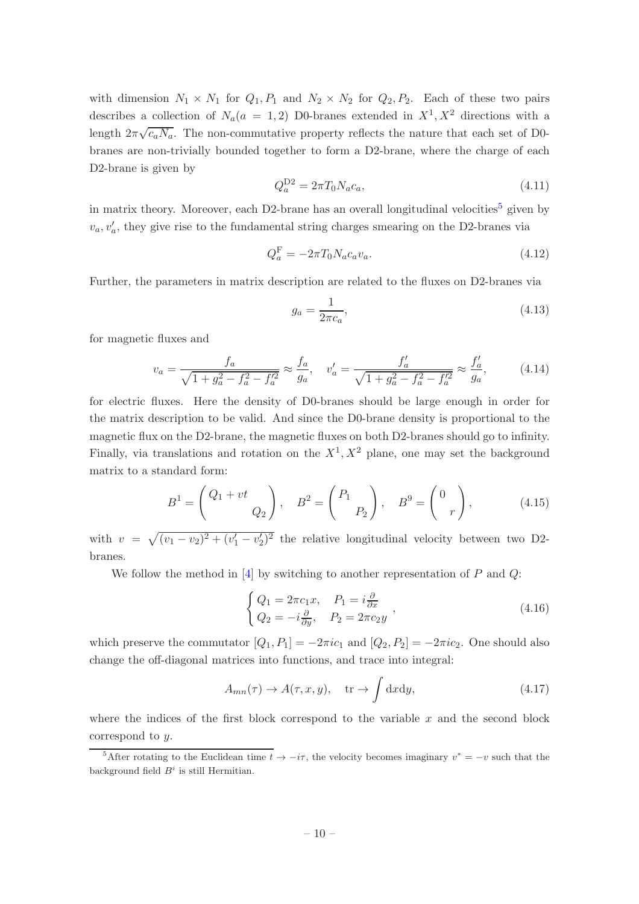with dimension  $N_1 \times N_1$  for  $Q_1, P_1$  and  $N_2 \times N_2$  for  $Q_2, P_2$ . Each of these two pairs describes a collection of  $N_a(a = 1, 2)$  D0-branes extended in  $X^1, X^2$  directions with a length  $2\pi\sqrt{c_aN_a}$ . The non-commutative property reflects the nature that each set of D0branes are non-trivially bounded together to form a D2-brane, where the charge of each D2-brane is given by

$$
Q_a^{\rm D2} = 2\pi T_0 N_a c_a,\tag{4.11}
$$

in matrix theory. Moreover, each D2-brane has an overall longitudinal velocities<sup>[5](#page-10-0)</sup> given by  $v_a, v'_a$ , they give rise to the fundamental string charges smearing on the D2-branes via

$$
Q_a^{\mathcal{F}} = -2\pi T_0 N_a c_a v_a. \tag{4.12}
$$

Further, the parameters in matrix description are related to the fluxes on D2-branes via

<span id="page-10-2"></span>
$$
g_a = \frac{1}{2\pi c_a},\tag{4.13}
$$

for magnetic fluxes and

<span id="page-10-3"></span>
$$
v_a = \frac{f_a}{\sqrt{1 + g_a^2 - f_a^2 - f_a'^2}} \approx \frac{f_a}{g_a}, \quad v_a' = \frac{f_a'}{\sqrt{1 + g_a^2 - f_a^2 - f_a'^2}} \approx \frac{f_a'}{g_a},\tag{4.14}
$$

for electric fluxes. Here the density of D0-branes should be large enough in order for the matrix description to be valid. And since the D0-brane density is proportional to the magnetic flux on the D2-brane, the magnetic fluxes on both D2-branes should go to infinity. Finally, via translations and rotation on the  $X^1, X^2$  plane, one may set the background matrix to a standard form:

<span id="page-10-1"></span>
$$
B1 = \begin{pmatrix} Q_1 + vt \\ Q_2 \end{pmatrix}, \quad B2 = \begin{pmatrix} P_1 \\ P_2 \end{pmatrix}, \quad B9 = \begin{pmatrix} 0 \\ r \end{pmatrix}, \tag{4.15}
$$

with  $v = \sqrt{(v_1 - v_2)^2 + (v_1' - v_2')^2}$  the relative longitudinal velocity between two D2branes.

We follow the method in  $[4]$  by switching to another representation of P and Q:

$$
\begin{cases}\nQ_1 = 2\pi c_1 x, & P_1 = i\frac{\partial}{\partial x} \\
Q_2 = -i\frac{\partial}{\partial y}, & P_2 = 2\pi c_2 y\n\end{cases},
$$
\n(4.16)

which preserve the commutator  $[Q_1, P_1] = -2\pi i c_1$  and  $[Q_2, P_2] = -2\pi i c_2$ . One should also change the off-diagonal matrices into functions, and trace into integral:

$$
A_{mn}(\tau) \to A(\tau, x, y), \quad \text{tr} \to \int dx dy,
$$
\n(4.17)

where the indices of the first block correspond to the variable  $x$  and the second block correspond to y.

<span id="page-10-0"></span><sup>&</sup>lt;sup>5</sup>After rotating to the Euclidean time  $t \to -i\tau$ , the velocity becomes imaginary  $v^* = -v$  such that the background field  $B^i$  is still Hermitian.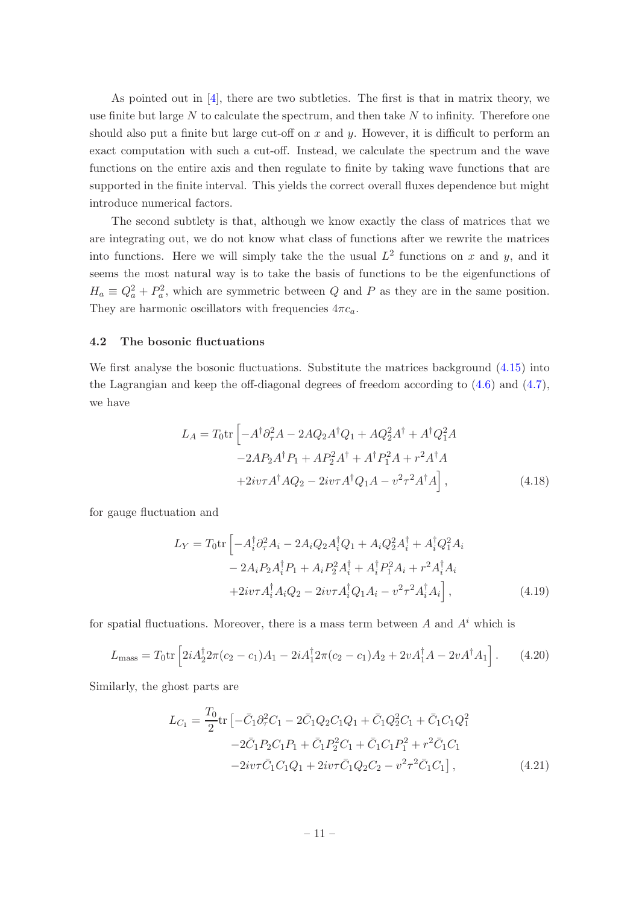As pointed out in [\[4](#page-19-2)], there are two subtleties. The first is that in matrix theory, we use finite but large  $N$  to calculate the spectrum, and then take  $N$  to infinity. Therefore one should also put a finite but large cut-off on  $x$  and  $y$ . However, it is difficult to perform an exact computation with such a cut-off. Instead, we calculate the spectrum and the wave functions on the entire axis and then regulate to finite by taking wave functions that are supported in the finite interval. This yields the correct overall fluxes dependence but might introduce numerical factors.

The second subtlety is that, although we know exactly the class of matrices that we are integrating out, we do not know what class of functions after we rewrite the matrices into functions. Here we will simply take the the usual  $L^2$  functions on x and y, and it seems the most natural way is to take the basis of functions to be the eigenfunctions of  $H_a \equiv Q_a^2 + P_a^2$ , which are symmetric between Q and P as they are in the same position. They are harmonic oscillators with frequencies  $4\pi c_a$ .

#### <span id="page-11-0"></span>4.2 The bosonic fluctuations

We first analyse the bosonic fluctuations. Substitute the matrices background  $(4.15)$  into the Lagrangian and keep the off-diagonal degrees of freedom according to  $(4.6)$  and  $(4.7)$ , we have

$$
L_A = T_0 \text{tr} \left[ -A^\dagger \partial_\tau^2 A - 2A Q_2 A^\dagger Q_1 + A Q_2^2 A^\dagger + A^\dagger Q_1^2 A - 2A P_2 A^\dagger P_1 + A P_2^2 A^\dagger + A^\dagger P_1^2 A + r^2 A^\dagger A + 2iv\tau A^\dagger A Q_2 - 2iv\tau A^\dagger Q_1 A - v^2 \tau^2 A^\dagger A \right],
$$
\n(4.18)

for gauge fluctuation and

$$
L_Y = T_0 \text{tr} \left[ -A_i^{\dagger} \partial_{\tau}^2 A_i - 2A_i Q_2 A_i^{\dagger} Q_1 + A_i Q_2^2 A_i^{\dagger} + A_i^{\dagger} Q_1^2 A_i \right. \\ \left. - 2A_i P_2 A_i^{\dagger} P_1 + A_i P_2^2 A_i^{\dagger} + A_i^{\dagger} P_1^2 A_i + r^2 A_i^{\dagger} A_i \right. \\ \left. + 2i v \tau A_i^{\dagger} A_i Q_2 - 2i v \tau A_i^{\dagger} Q_1 A_i - v^2 \tau^2 A_i^{\dagger} A_i \right], \tag{4.19}
$$

for spatial fluctuations. Moreover, there is a mass term between A and  $A<sup>i</sup>$  which is

<span id="page-11-1"></span>
$$
L_{\text{mass}} = T_0 \text{tr} \left[ 2i A_2^{\dagger} 2\pi (c_2 - c_1) A_1 - 2i A_1^{\dagger} 2\pi (c_2 - c_1) A_2 + 2v A_1^{\dagger} A - 2v A^{\dagger} A_1 \right]. \tag{4.20}
$$

Similarly, the ghost parts are

$$
L_{C_1} = \frac{T_0}{2} \text{tr} \left[ -\bar{C}_1 \partial_\tau^2 C_1 - 2\bar{C}_1 Q_2 C_1 Q_1 + \bar{C}_1 Q_2^2 C_1 + \bar{C}_1 C_1 Q_1^2 - 2\bar{C}_1 P_2 C_1 P_1 + \bar{C}_1 P_2^2 C_1 + \bar{C}_1 C_1 P_1^2 + r^2 \bar{C}_1 C_1 - 2iv\tau \bar{C}_1 C_1 Q_1 + 2iv\tau \bar{C}_1 Q_2 C_2 - v^2 \tau^2 \bar{C}_1 C_1 \right],
$$
\n(4.21)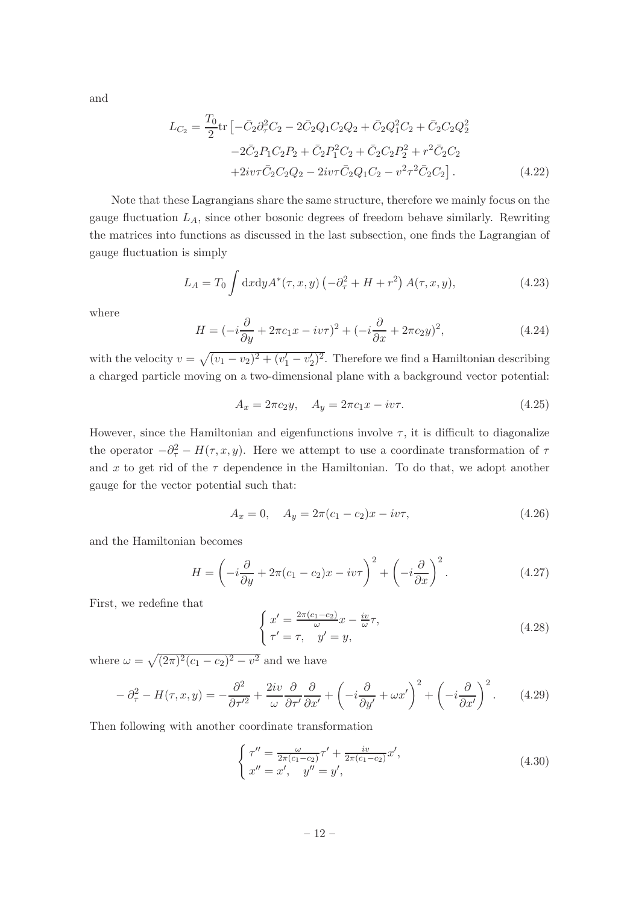and

$$
L_{C_2} = \frac{T_0}{2} \text{tr} \left[ -\bar{C}_2 \partial_\tau^2 C_2 - 2\bar{C}_2 Q_1 C_2 Q_2 + \bar{C}_2 Q_1^2 C_2 + \bar{C}_2 C_2 Q_2^2 - 2\bar{C}_2 P_1 C_2 P_2 + \bar{C}_2 P_1^2 C_2 + \bar{C}_2 C_2 P_2^2 + r^2 \bar{C}_2 C_2 + 2iv\tau \bar{C}_2 C_2 Q_2 - 2iv\tau \bar{C}_2 Q_1 C_2 - v^2 \tau^2 \bar{C}_2 C_2 \right].
$$
\n(4.22)

Note that these Lagrangians share the same structure, therefore we mainly focus on the gauge fluctuation  $L_A$ , since other bosonic degrees of freedom behave similarly. Rewriting the matrices into functions as discussed in the last subsection, one finds the Lagrangian of gauge fluctuation is simply

$$
L_A = T_0 \int dx dy A^*(\tau, x, y) \left(-\partial_\tau^2 + H + r^2\right) A(\tau, x, y),\tag{4.23}
$$

where

$$
H = \left(-i\frac{\partial}{\partial y} + 2\pi c_1 x - iv\tau\right)^2 + \left(-i\frac{\partial}{\partial x} + 2\pi c_2 y\right)^2,\tag{4.24}
$$

with the velocity  $v = \sqrt{(v_1 - v_2)^2 + (v_1' - v_2')^2}$ . Therefore we find a Hamiltonian describing a charged particle moving on a two-dimensional plane with a background vector potential:

$$
A_x = 2\pi c_2 y, \quad A_y = 2\pi c_1 x - i v \tau.
$$
\n(4.25)

However, since the Hamiltonian and eigenfunctions involve  $\tau$ , it is difficult to diagonalize the operator  $-\partial_{\tau}^{2} - H(\tau, x, y)$ . Here we attempt to use a coordinate transformation of  $\tau$ and x to get rid of the  $\tau$  dependence in the Hamiltonian. To do that, we adopt another gauge for the vector potential such that:

$$
A_x = 0, \quad A_y = 2\pi (c_1 - c_2)x - iv\tau,
$$
\n(4.26)

and the Hamiltonian becomes

$$
H = \left(-i\frac{\partial}{\partial y} + 2\pi(c_1 - c_2)x - iv\tau\right)^2 + \left(-i\frac{\partial}{\partial x}\right)^2.
$$
 (4.27)

First, we redefine that

$$
\begin{cases}\nx' = \frac{2\pi(c_1 - c_2)}{\omega} x - \frac{iv}{\omega} \tau, \\
\tau' = \tau, \quad y' = y,\n\end{cases}
$$
\n(4.28)

where  $\omega = \sqrt{(2\pi)^2 (c_1 - c_2)^2 - v^2}$  and we have

$$
-\partial_{\tau}^{2} - H(\tau, x, y) = -\frac{\partial^{2}}{\partial \tau^{\prime 2}} + \frac{2iv}{\omega} \frac{\partial}{\partial \tau^{\prime}} \frac{\partial}{\partial x^{\prime}} + \left(-i\frac{\partial}{\partial y^{\prime}} + \omega x^{\prime}\right)^{2} + \left(-i\frac{\partial}{\partial x^{\prime}}\right)^{2}.
$$
 (4.29)

Then following with another coordinate transformation

$$
\begin{cases}\n\tau'' = \frac{\omega}{2\pi(c_1 - c_2)}\tau' + \frac{iv}{2\pi(c_1 - c_2)}x',\\
x'' = x', \quad y'' = y',\n\end{cases}
$$
\n(4.30)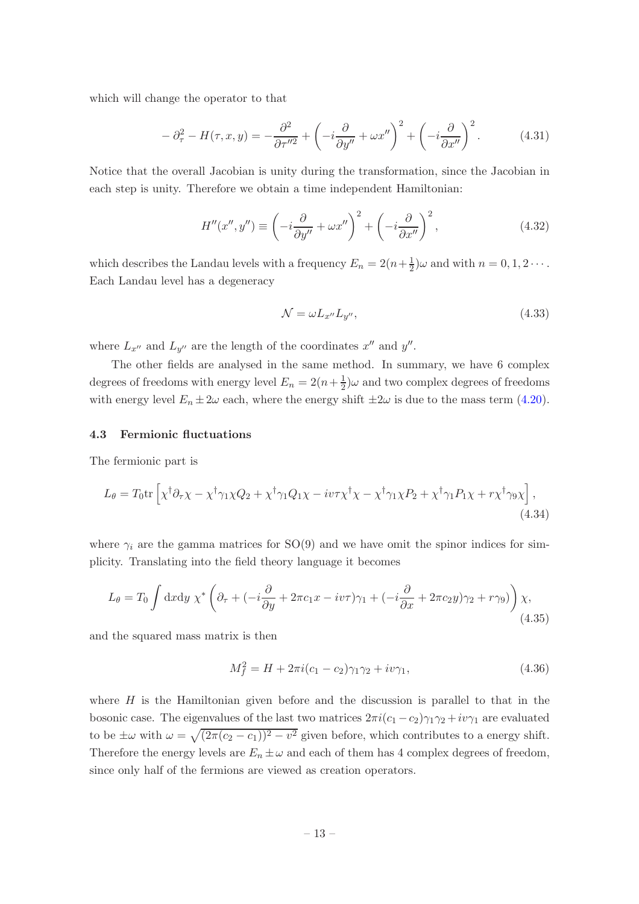which will change the operator to that

$$
-\partial_{\tau}^{2} - H(\tau, x, y) = -\frac{\partial^{2}}{\partial \tau^{\prime\prime 2}} + \left(-i\frac{\partial}{\partial y^{\prime\prime}} + \omega x^{\prime\prime}\right)^{2} + \left(-i\frac{\partial}{\partial x^{\prime\prime}}\right)^{2}.
$$
 (4.31)

Notice that the overall Jacobian is unity during the transformation, since the Jacobian in each step is unity. Therefore we obtain a time independent Hamiltonian:

$$
H''(x'', y'') \equiv \left(-i\frac{\partial}{\partial y''} + \omega x''\right)^2 + \left(-i\frac{\partial}{\partial x''}\right)^2,\tag{4.32}
$$

which describes the Landau levels with a frequency  $E_n = 2(n + \frac{1}{2})$  $(\frac{1}{2})\omega$  and with  $n = 0, 1, 2 \cdots$ . Each Landau level has a degeneracy

$$
\mathcal{N} = \omega L_{x''} L_{y''},\tag{4.33}
$$

where  $L_{x''}$  and  $L_{y''}$  are the length of the coordinates  $x''$  and  $y''$ .

The other fields are analysed in the same method. In summary, we have 6 complex degrees of freedoms with energy level  $E_n = 2(n + \frac{1}{2})$  $\frac{1}{2}$ ) $\omega$  and two complex degrees of freedoms with energy level  $E_n \pm 2\omega$  each, where the energy shift  $\pm 2\omega$  is due to the mass term [\(4.20\)](#page-11-1).

## <span id="page-13-0"></span>4.3 Fermionic fluctuations

The fermionic part is

$$
L_{\theta} = T_0 \text{tr} \left[ \chi^{\dagger} \partial_{\tau} \chi - \chi^{\dagger} \gamma_1 \chi Q_2 + \chi^{\dagger} \gamma_1 Q_1 \chi - i v \tau \chi^{\dagger} \chi - \chi^{\dagger} \gamma_1 \chi P_2 + \chi^{\dagger} \gamma_1 P_1 \chi + r \chi^{\dagger} \gamma_9 \chi \right],
$$
\n(4.34)

where  $\gamma_i$  are the gamma matrices for SO(9) and we have omit the spinor indices for simplicity. Translating into the field theory language it becomes

$$
L_{\theta} = T_0 \int dx dy \ \chi^* \left( \partial_{\tau} + (-i \frac{\partial}{\partial y} + 2\pi c_1 x - iv\tau) \gamma_1 + (-i \frac{\partial}{\partial x} + 2\pi c_2 y) \gamma_2 + r \gamma_9) \right) \chi,
$$
\n(4.35)

and the squared mass matrix is then

$$
M_f^2 = H + 2\pi i (c_1 - c_2)\gamma_1 \gamma_2 + i v \gamma_1, \tag{4.36}
$$

where  $H$  is the Hamiltonian given before and the discussion is parallel to that in the bosonic case. The eigenvalues of the last two matrices  $2\pi i (c_1 - c_2) \gamma_1 \gamma_2 + i v \gamma_1$  are evaluated to be  $\pm \omega$  with  $\omega = \sqrt{(2\pi(c_2 - c_1))^2 - v^2}$  given before, which contributes to a energy shift. Therefore the energy levels are  $E_n \pm \omega$  and each of them has 4 complex degrees of freedom, since only half of the fermions are viewed as creation operators.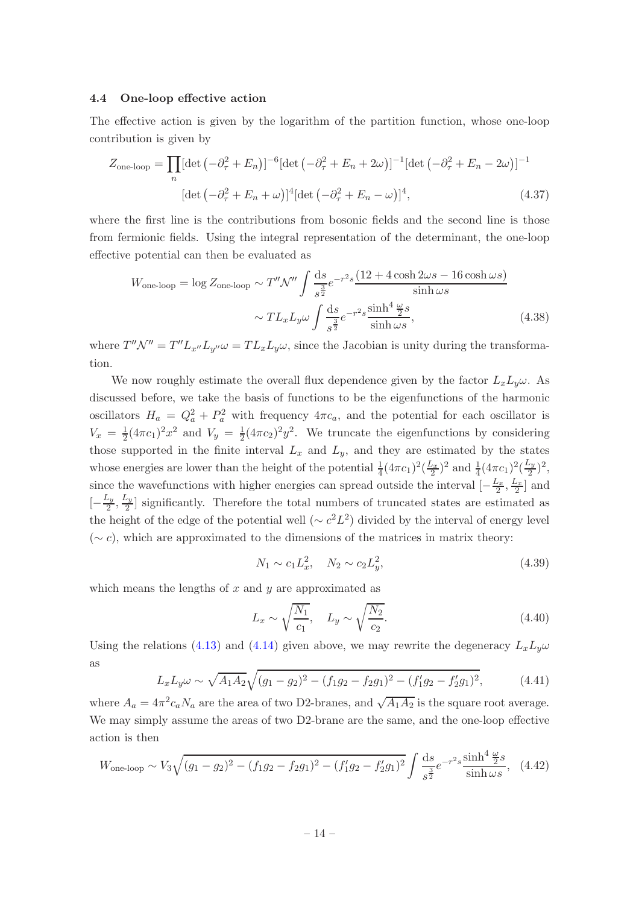## <span id="page-14-0"></span>4.4 One-loop effective action

The effective action is given by the logarithm of the partition function, whose one-loop contribution is given by

$$
Z_{\text{one-loop}} = \prod_{n} [\det \left( -\partial_{\tau}^{2} + E_{n} \right)]^{-6} [\det \left( -\partial_{\tau}^{2} + E_{n} + 2\omega \right)]^{-1} [\det \left( -\partial_{\tau}^{2} + E_{n} - 2\omega \right)]^{-1}
$$

$$
[\det \left( -\partial_{\tau}^{2} + E_{n} + \omega \right)]^{4} [\det \left( -\partial_{\tau}^{2} + E_{n} - \omega \right)]^{4}, \tag{4.37}
$$

where the first line is the contributions from bosonic fields and the second line is those from fermionic fields. Using the integral representation of the determinant, the one-loop effective potential can then be evaluated as

$$
W_{\text{one-loop}} = \log Z_{\text{one-loop}} \sim T'' \mathcal{N}'' \int \frac{ds}{s^{\frac{3}{2}}} e^{-r^2 s} \frac{(12 + 4 \cosh 2\omega s - 16 \cosh \omega s)}{\sinh \omega s} \sim T L_x L_y \omega \int \frac{ds}{s^{\frac{3}{2}}} e^{-r^2 s} \frac{\sinh^4 \frac{\omega}{2} s}{\sinh \omega s},
$$
(4.38)

where  $T''\mathcal{N}'' = T''L_{x''}L_{y''}\omega = TL_xL_y\omega$ , since the Jacobian is unity during the transformation.

We now roughly estimate the overall flux dependence given by the factor  $L_xL_y\omega$ . As discussed before, we take the basis of functions to be the eigenfunctions of the harmonic oscillators  $H_a = Q_a^2 + P_a^2$  with frequency  $4\pi c_a$ , and the potential for each oscillator is  $V_x = \frac{1}{2}$  $\frac{1}{2}(4\pi c_1)^2 x^2$  and  $V_y = \frac{1}{2}$  $\frac{1}{2}(4\pi c_2)^2 y^2$ . We truncate the eigenfunctions by considering those supported in the finite interval  $L_x$  and  $L_y$ , and they are estimated by the states whose energies are lower than the height of the potential  $\frac{1}{4}(4\pi c_1)^2(\frac{L_x}{2})^2$  and  $\frac{1}{4}(4\pi c_1)^2(\frac{L_y}{2})^2$  $(\frac{2y}{2})^2$ , since the wavefunctions with higher energies can spread outside the interval  $\left[-\frac{L_x}{2}, \frac{L_x}{2}\right]$  and  $\left[-\frac{L_y}{2}\right]$  $\frac{L_y}{2}, \frac{L_y}{2}$  $\frac{2}{2}$  significantly. Therefore the total numbers of truncated states are estimated as the height of the edge of the potential well  $({\sim c^2}L^2)$  divided by the interval of energy level  $({\sim}c)$ , which are approximated to the dimensions of the matrices in matrix theory:

$$
N_1 \sim c_1 L_x^2, \quad N_2 \sim c_2 L_y^2,\tag{4.39}
$$

which means the lengths of  $x$  and  $y$  are approximated as

$$
L_x \sim \sqrt{\frac{N_1}{c_1}}, \quad L_y \sim \sqrt{\frac{N_2}{c_2}}.
$$
 (4.40)

Using the relations [\(4.13\)](#page-10-2) and [\(4.14\)](#page-10-3) given above, we may rewrite the degeneracy  $L_xL_y\omega$ as

$$
L_x L_y \omega \sim \sqrt{A_1 A_2} \sqrt{(g_1 - g_2)^2 - (f_1 g_2 - f_2 g_1)^2 - (f_1' g_2 - f_2' g_1)^2},\tag{4.41}
$$

where  $A_a = 4\pi^2 c_a N_a$  are the area of two D2-branes, and  $\sqrt{A_1 A_2}$  is the square root average. We may simply assume the areas of two D2-brane are the same, and the one-loop effective action is then

$$
W_{\text{one-loop}} \sim V_3 \sqrt{(g_1 - g_2)^2 - (f_1 g_2 - f_2 g_1)^2 - (f_1' g_2 - f_2' g_1)^2} \int \frac{\mathrm{d}s}{s^{\frac{3}{2}}} e^{-r^2 s} \frac{\sinh^4 \frac{\omega}{2} s}{\sinh \omega s}, \quad (4.42)
$$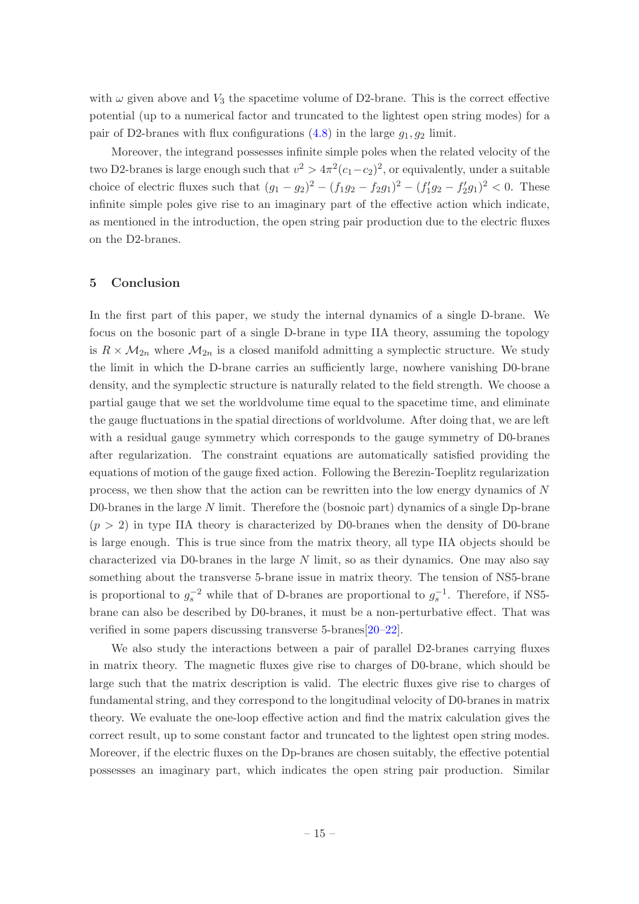with  $\omega$  given above and  $V_3$  the spacetime volume of D2-brane. This is the correct effective potential (up to a numerical factor and truncated to the lightest open string modes) for a pair of D2-branes with flux configurations  $(4.8)$  in the large  $g_1, g_2$  limit.

Moreover, the integrand possesses infinite simple poles when the related velocity of the two D2-branes is large enough such that  $v^2 > 4\pi^2(c_1-c_2)^2$ , or equivalently, under a suitable choice of electric fluxes such that  $(g_1 - g_2)^2 - (f_1g_2 - f_2g_1)^2 - (f'_1g_2 - f'_2g_1)^2 < 0$ . These infinite simple poles give rise to an imaginary part of the effective action which indicate, as mentioned in the introduction, the open string pair production due to the electric fluxes on the D2-branes.

## <span id="page-15-0"></span>5 Conclusion

In the first part of this paper, we study the internal dynamics of a single D-brane. We focus on the bosonic part of a single D-brane in type IIA theory, assuming the topology is  $R \times \mathcal{M}_{2n}$  where  $\mathcal{M}_{2n}$  is a closed manifold admitting a symplectic structure. We study the limit in which the D-brane carries an sufficiently large, nowhere vanishing D0-brane density, and the symplectic structure is naturally related to the field strength. We choose a partial gauge that we set the worldvolume time equal to the spacetime time, and eliminate the gauge fluctuations in the spatial directions of worldvolume. After doing that, we are left with a residual gauge symmetry which corresponds to the gauge symmetry of D0-branes after regularization. The constraint equations are automatically satisfied providing the equations of motion of the gauge fixed action. Following the Berezin-Toeplitz regularization process, we then show that the action can be rewritten into the low energy dynamics of N D0-branes in the large N limit. Therefore the (bosnoic part) dynamics of a single Dp-brane  $(p > 2)$  in type IIA theory is characterized by D0-branes when the density of D0-brane is large enough. This is true since from the matrix theory, all type IIA objects should be characterized via D0-branes in the large  $N$  limit, so as their dynamics. One may also say something about the transverse 5-brane issue in matrix theory. The tension of NS5-brane is proportional to  $g_s^{-2}$  while that of D-branes are proportional to  $g_s^{-1}$ . Therefore, if NS5brane can also be described by D0-branes, it must be a non-perturbative effect. That was verified in some papers discussing transverse 5-branes[\[20](#page-20-10)[–22\]](#page-20-11).

We also study the interactions between a pair of parallel D2-branes carrying fluxes in matrix theory. The magnetic fluxes give rise to charges of D0-brane, which should be large such that the matrix description is valid. The electric fluxes give rise to charges of fundamental string, and they correspond to the longitudinal velocity of D0-branes in matrix theory. We evaluate the one-loop effective action and find the matrix calculation gives the correct result, up to some constant factor and truncated to the lightest open string modes. Moreover, if the electric fluxes on the Dp-branes are chosen suitably, the effective potential possesses an imaginary part, which indicates the open string pair production. Similar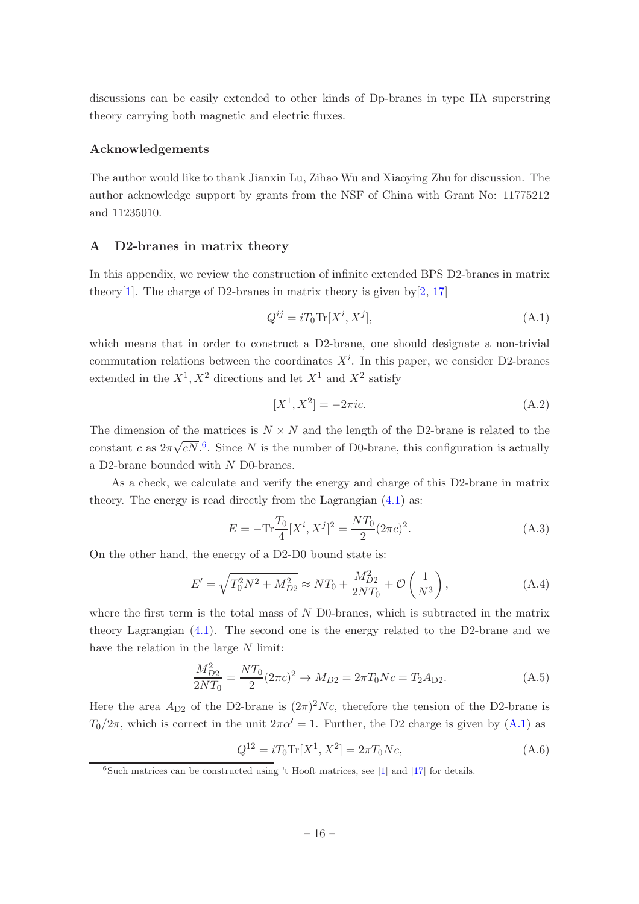discussions can be easily extended to other kinds of Dp-branes in type IIA superstring theory carrying both magnetic and electric fluxes.

## Acknowledgements

The author would like to thank Jianxin Lu, Zihao Wu and Xiaoying Zhu for discussion. The author acknowledge support by grants from the NSF of China with Grant No: 11775212 and 11235010.

## <span id="page-16-0"></span>A D2-branes in matrix theory

In this appendix, we review the construction of infinite extended BPS D2-branes in matrix theory<sup>[\[1](#page-19-0)]</sup>. The charge of D2-branes in matrix theory is given  $bv[2, 17]$  $bv[2, 17]$  $bv[2, 17]$  $bv[2, 17]$  $bv[2, 17]$ 

<span id="page-16-2"></span>
$$
Q^{ij} = iT_0 \text{Tr}[X^i, X^j],\tag{A.1}
$$

which means that in order to construct a D2-brane, one should designate a non-trivial commutation relations between the coordinates  $X^i$ . In this paper, we consider D2-branes extended in the  $X^1, X^2$  directions and let  $X^1$  and  $X^2$  satisfy

$$
[X^1, X^2] = -2\pi i c.
$$
 (A.2)

The dimension of the matrices is  $N \times N$  and the length of the D2-brane is related to the constant c as  $2\pi\sqrt{cN}$ <sup>[6](#page-16-1)</sup>. Since N is the number of D0-brane, this configuration is actually a D2-brane bounded with N D0-branes.

As a check, we calculate and verify the energy and charge of this D2-brane in matrix theory. The energy is read directly from the Lagrangian [\(4.1\)](#page-8-2) as:

$$
E = -\text{Tr}\frac{T_0}{4}[X^i, X^j]^2 = \frac{NT_0}{2}(2\pi c)^2.
$$
 (A.3)

On the other hand, the energy of a D2-D0 bound state is:

$$
E' = \sqrt{T_0^2 N^2 + M_{D2}^2} \approx N T_0 + \frac{M_{D2}^2}{2NT_0} + \mathcal{O}\left(\frac{1}{N^3}\right),\tag{A.4}
$$

where the first term is the total mass of  $N$  D0-branes, which is subtracted in the matrix theory Lagrangian [\(4.1\)](#page-8-2). The second one is the energy related to the D2-brane and we have the relation in the large N limit:

$$
\frac{M_{D2}^2}{2NT_0} = \frac{NT_0}{2}(2\pi c)^2 \to M_{D2} = 2\pi T_0 Nc = T_2 A_{D2}.
$$
\n(A.5)

Here the area  $A_{D2}$  of the D2-brane is  $(2\pi)^2 Nc$ , therefore the tension of the D2-brane is  $T_0/2\pi$ , which is correct in the unit  $2\pi\alpha' = 1$ . Further, the D2 charge is given by [\(A.1\)](#page-16-2) as

$$
Q^{12} = iT_0 \text{Tr}[X^1, X^2] = 2\pi T_0 Nc,
$$
\n(A.6)

<span id="page-16-1"></span> ${}^{6}$ Such matrices can be constructed using 't Hooft matrices, see [\[1](#page-19-0)] and [\[17](#page-20-7)] for details.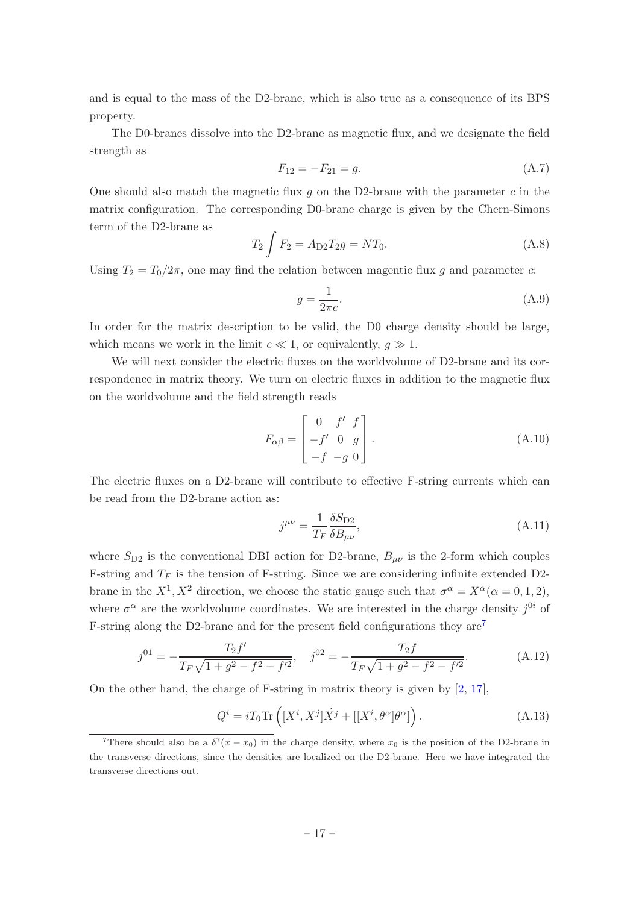and is equal to the mass of the D2-brane, which is also true as a consequence of its BPS property.

The D0-branes dissolve into the D2-brane as magnetic flux, and we designate the field strength as

$$
F_{12} = -F_{21} = g.
$$
\n(A.7)

One should also match the magnetic flux  $q$  on the D2-brane with the parameter  $c$  in the matrix configuration. The corresponding D0-brane charge is given by the Chern-Simons term of the D2-brane as

$$
T_2 \int F_2 = A_{D2} T_2 g = N T_0.
$$
 (A.8)

Using  $T_2 = T_0/2\pi$ , one may find the relation between magentic flux g and parameter c:

$$
g = \frac{1}{2\pi c}.\tag{A.9}
$$

In order for the matrix description to be valid, the D0 charge density should be large, which means we work in the limit  $c \ll 1$ , or equivalently,  $q \gg 1$ .

We will next consider the electric fluxes on the worldvolume of D2-brane and its correspondence in matrix theory. We turn on electric fluxes in addition to the magnetic flux on the worldvolume and the field strength reads

<span id="page-17-1"></span>
$$
F_{\alpha\beta} = \begin{bmatrix} 0 & f' & f \\ -f' & 0 & g \\ -f & -g & 0 \end{bmatrix}.
$$
 (A.10)

The electric fluxes on a D2-brane will contribute to effective F-string currents which can be read from the D2-brane action as:

$$
j^{\mu\nu} = \frac{1}{T_F} \frac{\delta S_{\text{D2}}}{\delta B_{\mu\nu}},\tag{A.11}
$$

where  $S_{D2}$  is the conventional DBI action for D2-brane,  $B_{\mu\nu}$  is the 2-form which couples F-string and  $T_F$  is the tension of F-string. Since we are considering infinite extended D2brane in the  $X^1, X^2$  direction, we choose the static gauge such that  $\sigma^{\alpha} = X^{\alpha} (\alpha = 0, 1, 2),$ where  $\sigma^{\alpha}$  are the worldvolume coordinates. We are interested in the charge density  $j^{0i}$  of F-string along the D2-brane and for the present field configurations they  $\text{are}^7$  $\text{are}^7$ 

$$
j^{01} = -\frac{T_2 f'}{T_F \sqrt{1 + g^2 - f^2 - f'^2}}, \quad j^{02} = -\frac{T_2 f}{T_F \sqrt{1 + g^2 - f^2 - f'^2}}.
$$
(A.12)

On the other hand, the charge of F-string in matrix theory is given by  $[2, 17]$  $[2, 17]$  $[2, 17]$ ,

$$
Q^{i} = i T_0 \text{Tr} \left( [X^{i}, X^{j}] \dot{X}^{j} + [[X^{i}, \theta^{\alpha}] \theta^{\alpha}] \right). \tag{A.13}
$$

<span id="page-17-0"></span><sup>&</sup>lt;sup>7</sup>There should also be a  $\delta^7(x-x_0)$  in the charge density, where  $x_0$  is the position of the D2-brane in the transverse directions, since the densities are localized on the D2-brane. Here we have integrated the transverse directions out.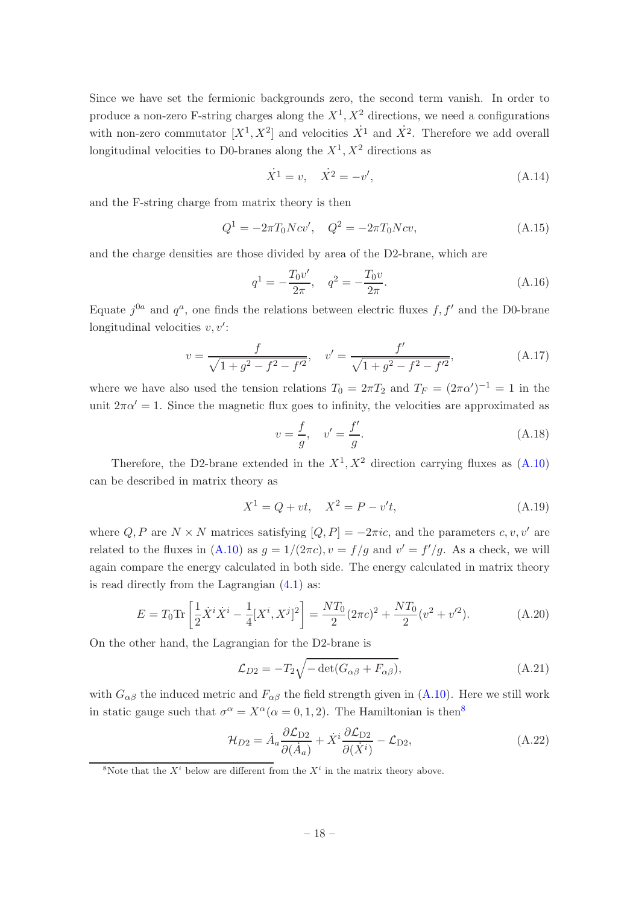Since we have set the fermionic backgrounds zero, the second term vanish. In order to produce a non-zero F-string charges along the  $X^1, X^2$  directions, we need a configurations with non-zero commutator  $[X^1, X^2]$  and velocities  $\dot{X}^1$  and  $\dot{X}^2$ . Therefore we add overall longitudinal velocities to D0-branes along the  $X^1, X^2$  directions as

$$
\dot{X}^1 = v, \quad \dot{X}^2 = -v', \tag{A.14}
$$

and the F-string charge from matrix theory is then

$$
Q^{1} = -2\pi T_{0}Ncv', \quad Q^{2} = -2\pi T_{0}Ncv,
$$
\n(A.15)

and the charge densities are those divided by area of the D2-brane, which are

$$
q^{1} = -\frac{T_{0}v'}{2\pi}, \quad q^{2} = -\frac{T_{0}v}{2\pi}.
$$
\n(A.16)

Equate  $j^{0a}$  and  $q^a$ , one finds the relations between electric fluxes f, f' and the D0-brane longitudinal velocities  $v, v'$ :

$$
v = \frac{f}{\sqrt{1+g^2-f^2-f'^2}}, \quad v' = \frac{f'}{\sqrt{1+g^2-f^2-f'^2}},\tag{A.17}
$$

where we have also used the tension relations  $T_0 = 2\pi T_2$  and  $T_F = (2\pi\alpha')^{-1} = 1$  in the unit  $2\pi\alpha' = 1$ . Since the magnetic flux goes to infinity, the velocities are approximated as

$$
v = \frac{f}{g}
$$
,  $v' = \frac{f'}{g}$ . (A.18)

Therefore, the D2-brane extended in the  $X^1, X^2$  direction carrying fluxes as  $(A.10)$ can be described in matrix theory as

$$
X^1 = Q + vt, \quad X^2 = P - v't,
$$
\n(A.19)

where Q, P are  $N \times N$  matrices satisfying  $[Q, P] = -2\pi i c$ , and the parameters c, v, v' are related to the fluxes in  $(A.10)$  as  $g = 1/(2\pi c)$ ,  $v = f/g$  and  $v' = f'/g$ . As a check, we will again compare the energy calculated in both side. The energy calculated in matrix theory is read directly from the Lagrangian [\(4.1\)](#page-8-2) as:

<span id="page-18-1"></span>
$$
E = T_0 \text{Tr} \left[ \frac{1}{2} \dot{X}^i \dot{X}^i - \frac{1}{4} [X^i, X^j]^2 \right] = \frac{NT_0}{2} (2\pi c)^2 + \frac{NT_0}{2} (v^2 + v^2). \tag{A.20}
$$

On the other hand, the Lagrangian for the D2-brane is

$$
\mathcal{L}_{D2} = -T_2 \sqrt{-\det(G_{\alpha\beta} + F_{\alpha\beta})},\tag{A.21}
$$

with  $G_{\alpha\beta}$  the induced metric and  $F_{\alpha\beta}$  the field strength given in [\(A.10\)](#page-17-1). Here we still work in static gauge such that  $\sigma^{\alpha} = X^{\alpha} (\alpha = 0, 1, 2)$ . The Hamiltonian is then<sup>[8](#page-18-0)</sup>

$$
\mathcal{H}_{D2} = \dot{A}_a \frac{\partial \mathcal{L}_{D2}}{\partial (\dot{A}_a)} + \dot{X}^i \frac{\partial \mathcal{L}_{D2}}{\partial (\dot{X}^i)} - \mathcal{L}_{D2},\tag{A.22}
$$

<span id="page-18-0"></span><sup>8</sup>Note that the  $X^i$  below are different from the  $X^i$  in the matrix theory above.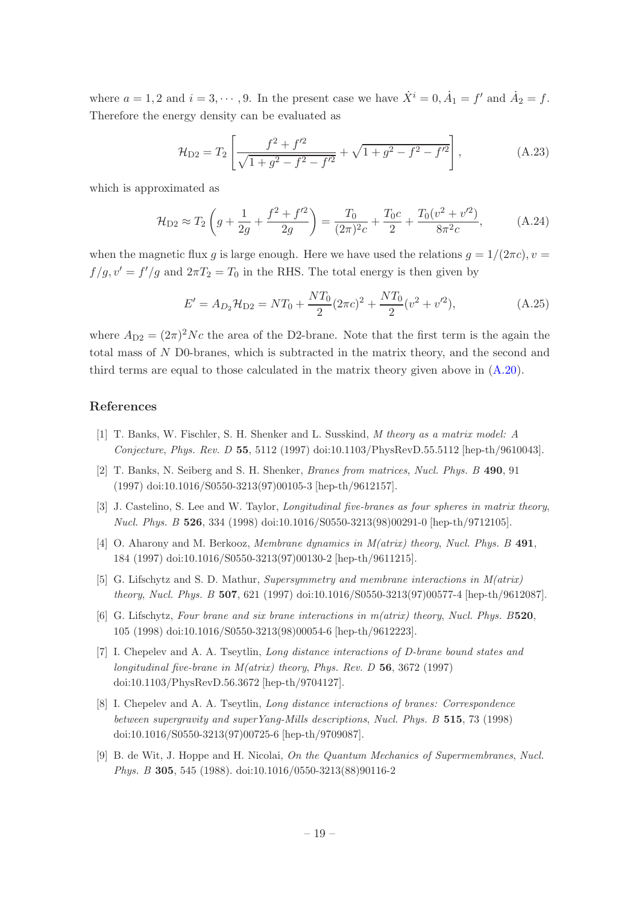where  $a = 1, 2$  and  $i = 3, \dots, 9$ . In the present case we have  $\dot{X}^i = 0, \dot{A}_1 = f'$  and  $\dot{A}_2 = f$ . Therefore the energy density can be evaluated as

$$
\mathcal{H}_{D2} = T_2 \left[ \frac{f^2 + f'^2}{\sqrt{1 + g^2 - f^2 - f'^2}} + \sqrt{1 + g^2 - f^2 - f'^2} \right],\tag{A.23}
$$

which is approximated as

$$
\mathcal{H}_{D2} \approx T_2 \left( g + \frac{1}{2g} + \frac{f^2 + f'^2}{2g} \right) = \frac{T_0}{(2\pi)^2 c} + \frac{T_0 c}{2} + \frac{T_0 (v^2 + v'^2)}{8\pi^2 c},\tag{A.24}
$$

when the magnetic flux g is large enough. Here we have used the relations  $q = 1/(2\pi c)$ ,  $v =$  $f/g, v' = f'/g$  and  $2\pi T_2 = T_0$  in the RHS. The total energy is then given by

$$
E' = A_{D_2} \mathcal{H}_{D_2} = NT_0 + \frac{NT_0}{2} (2\pi c)^2 + \frac{NT_0}{2} (v^2 + v'^2), \tag{A.25}
$$

where  $A_{D2} = (2\pi)^2 Nc$  the area of the D2-brane. Note that the first term is the again the total mass of N D0-branes, which is subtracted in the matrix theory, and the second and third terms are equal to those calculated in the matrix theory given above in [\(A.20\)](#page-18-1).

## References

- <span id="page-19-0"></span>[1] T. Banks, W. Fischler, S. H. Shenker and L. Susskind, *M theory as a matrix model: A Conjecture*, *Phys. Rev. D* 55, 5112 (1997) doi:10.1103/PhysRevD.55.5112 [hep-th/9610043].
- <span id="page-19-6"></span>[2] T. Banks, N. Seiberg and S. H. Shenker, *Branes from matrices*, *Nucl. Phys. B* 490, 91 (1997) doi:10.1016/S0550-3213(97)00105-3 [hep-th/9612157].
- <span id="page-19-1"></span>[3] J. Castelino, S. Lee and W. Taylor, *Longitudinal five-branes as four spheres in matrix theory*, *Nucl. Phys. B* 526, 334 (1998) doi:10.1016/S0550-3213(98)00291-0 [hep-th/9712105].
- <span id="page-19-2"></span>[4] O. Aharony and M. Berkooz, *Membrane dynamics in M(atrix) theory*, *Nucl. Phys. B* 491, 184 (1997) doi:10.1016/S0550-3213(97)00130-2 [hep-th/9611215].
- <span id="page-19-5"></span>[5] G. Lifschytz and S. D. Mathur, *Supersymmetry and membrane interactions in M(atrix) theory*, *Nucl. Phys. B* 507, 621 (1997) doi:10.1016/S0550-3213(97)00577-4 [hep-th/9612087].
- [6] G. Lifschytz, *Four brane and six brane interactions in m(atrix) theory*, *Nucl. Phys. B*520, 105 (1998) doi:10.1016/S0550-3213(98)00054-6 [hep-th/9612223].
- [7] I. Chepelev and A. A. Tseytlin, *Long distance interactions of D-brane bound states and longitudinal five-brane in M(atrix) theory*, *Phys. Rev. D* 56, 3672 (1997) doi:10.1103/PhysRevD.56.3672 [hep-th/9704127].
- <span id="page-19-3"></span>[8] I. Chepelev and A. A. Tseytlin, *Long distance interactions of branes: Correspondence between supergravity and superYang-Mills descriptions*, *Nucl. Phys. B* 515, 73 (1998) doi:10.1016/S0550-3213(97)00725-6 [hep-th/9709087].
- <span id="page-19-4"></span>[9] B. de Wit, J. Hoppe and H. Nicolai, *On the Quantum Mechanics of Supermembranes*, *Nucl. Phys. B* 305, 545 (1988). doi:10.1016/0550-3213(88)90116-2